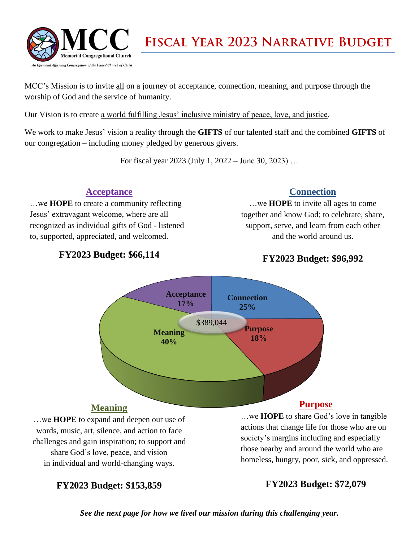

MCC's Mission is to invite all on a journey of acceptance, connection, meaning, and purpose through the worship of God and the service of humanity.

Our Vision is to create a world fulfilling Jesus' inclusive ministry of peace, love, and justice.

We work to make Jesus' vision a reality through the **GIFTS** of our talented staff and the combined **GIFTS** of our congregation – including money pledged by generous givers.

For fiscal year 2023 (July 1, 2022 – June 30, 2023) …

#### **Acceptance**

…we **HOPE** to create a community reflecting Jesus' extravagant welcome, where are all recognized as individual gifts of God - listened to, supported, appreciated, and welcomed.

#### **Connection**

…we **HOPE** to invite all ages to come together and know God; to celebrate, share, support, serve, and learn from each other and the world around us.

### **FY2023 Budget: \$66,114**

### **FY2023 Budget: \$96,992**



…we **HOPE** to expand and deepen our use of words, music, art, silence, and action to face challenges and gain inspiration; to support and share God's love, peace, and vision in individual and world-changing ways.

**FY2023 Budget: \$153,859**

…we **HOPE** to share God's love in tangible actions that change life for those who are on society's margins including and especially those nearby and around the world who are homeless, hungry, poor, sick, and oppressed.

#### **FY2023 Budget: \$72,079**

*See the next page for how we lived our mission during this challenging year.*